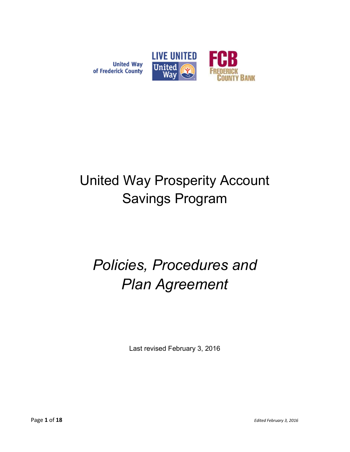

# of Frederick County

# United Way Prosperity Account Savings Program

# Policies, Procedures and Plan Agreement

Last revised February 3, 2016

Page 1 of 18 Edited February 3, 2016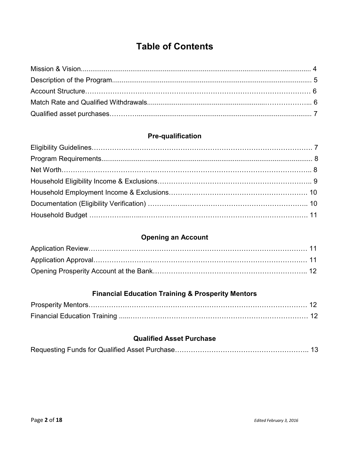# Table of Contents

# Pre-qualification

# Opening an Account

# Financial Education Training & Prosperity Mentors

#### Qualified Asset Purchase

|--|--|--|--|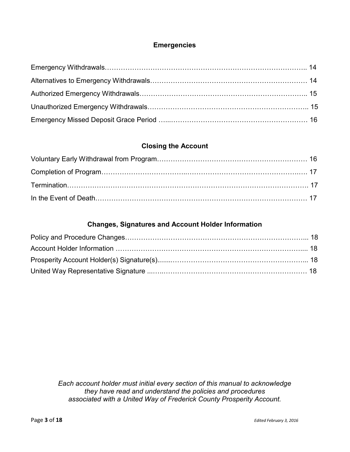#### Emergencies

#### Closing the Account

#### Changes, Signatures and Account Holder Information

Each account holder must initial every section of this manual to acknowledge they have read and understand the policies and procedures associated with a United Way of Frederick County Prosperity Account.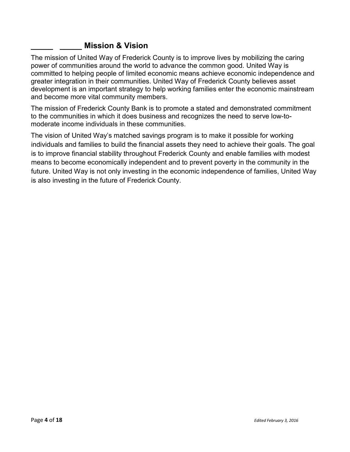#### **Mission & Vision**

The mission of United Way of Frederick County is to improve lives by mobilizing the caring power of communities around the world to advance the common good. United Way is committed to helping people of limited economic means achieve economic independence and greater integration in their communities. United Way of Frederick County believes asset development is an important strategy to help working families enter the economic mainstream and become more vital community members.

The mission of Frederick County Bank is to promote a stated and demonstrated commitment to the communities in which it does business and recognizes the need to serve low-tomoderate income individuals in these communities.

The vision of United Way's matched savings program is to make it possible for working individuals and families to build the financial assets they need to achieve their goals. The goal is to improve financial stability throughout Frederick County and enable families with modest means to become economically independent and to prevent poverty in the community in the future. United Way is not only investing in the economic independence of families, United Way is also investing in the future of Frederick County.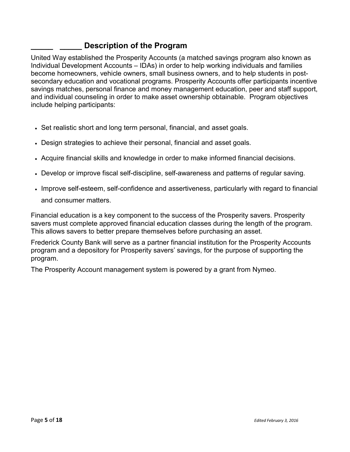#### Description of the Program

United Way established the Prosperity Accounts (a matched savings program also known as Individual Development Accounts – IDAs) in order to help working individuals and families become homeowners, vehicle owners, small business owners, and to help students in postsecondary education and vocational programs. Prosperity Accounts offer participants incentive savings matches, personal finance and money management education, peer and staff support, and individual counseling in order to make asset ownership obtainable. Program objectives include helping participants:

- Set realistic short and long term personal, financial, and asset goals.
- Design strategies to achieve their personal, financial and asset goals.
- Acquire financial skills and knowledge in order to make informed financial decisions.
- Develop or improve fiscal self-discipline, self-awareness and patterns of regular saving.
- Improve self-esteem, self-confidence and assertiveness, particularly with regard to financial and consumer matters.

Financial education is a key component to the success of the Prosperity savers. Prosperity savers must complete approved financial education classes during the length of the program. This allows savers to better prepare themselves before purchasing an asset.

Frederick County Bank will serve as a partner financial institution for the Prosperity Accounts program and a depository for Prosperity savers' savings, for the purpose of supporting the program.

The Prosperity Account management system is powered by a grant from Nymeo.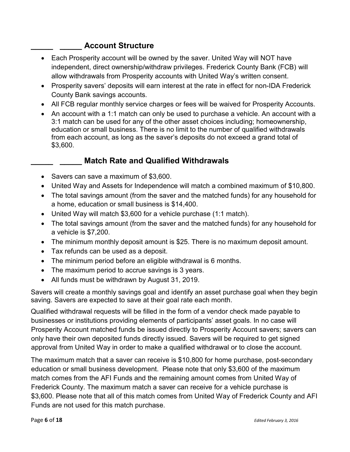# Account Structure

- Each Prosperity account will be owned by the saver. United Way will NOT have independent, direct ownership/withdraw privileges. Frederick County Bank (FCB) will allow withdrawals from Prosperity accounts with United Way's written consent.
- Prosperity savers' deposits will earn interest at the rate in effect for non-IDA Frederick County Bank savings accounts.
- All FCB regular monthly service charges or fees will be waived for Prosperity Accounts.
- An account with a 1:1 match can only be used to purchase a vehicle. An account with a 3:1 match can be used for any of the other asset choices including; homeownership, education or small business. There is no limit to the number of qualified withdrawals from each account, as long as the saver's deposits do not exceed a grand total of \$3,600.

# **Match Rate and Qualified Withdrawals**

- Savers can save a maximum of \$3,600.
- United Way and Assets for Independence will match a combined maximum of \$10,800.
- The total savings amount (from the saver and the matched funds) for any household for a home, education or small business is \$14,400.
- United Way will match \$3,600 for a vehicle purchase (1:1 match).
- The total savings amount (from the saver and the matched funds) for any household for a vehicle is \$7,200.
- The minimum monthly deposit amount is \$25. There is no maximum deposit amount.
- Tax refunds can be used as a deposit.
- The minimum period before an eligible withdrawal is 6 months.
- The maximum period to accrue savings is 3 years.
- All funds must be withdrawn by August 31, 2019.

Savers will create a monthly savings goal and identify an asset purchase goal when they begin saving. Savers are expected to save at their goal rate each month.

Qualified withdrawal requests will be filled in the form of a vendor check made payable to businesses or institutions providing elements of participants' asset goals. In no case will Prosperity Account matched funds be issued directly to Prosperity Account savers; savers can only have their own deposited funds directly issued. Savers will be required to get signed approval from United Way in order to make a qualified withdrawal or to close the account.

The maximum match that a saver can receive is \$10,800 for home purchase, post-secondary education or small business development. Please note that only \$3,600 of the maximum match comes from the AFI Funds and the remaining amount comes from United Way of Frederick County. The maximum match a saver can receive for a vehicle purchase is \$3,600. Please note that all of this match comes from United Way of Frederick County and AFI Funds are not used for this match purchase.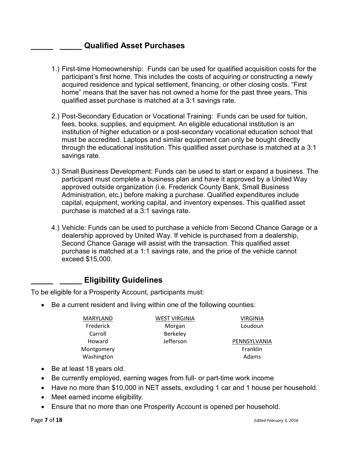#### **Qualified Asset Purchases**

- 1.) First-time Homeownership: Funds can be used for qualified acquisition costs for the participant's first home. This includes the costs of acquiring or constructing a newly acquired residence and typical settlement, financing, or other closing costs. "First home" means that the saver has not owned a home for the past three years. This qualified asset purchase is matched at a 3:1 savings rate.
- 2.) Post-Secondary Education or Vocational Training: Funds can be used for tuition, fees, books, supplies, and equipment. An eligible educational institution is an institution of higher education or a post-secondary vocational education school that must be accredited. Laptops and similar equipment can only be bought directly through the educational institution. This qualified asset purchase is matched at a 3:1 savings rate.
- 3.) Small Business Development: Funds can be used to start or expand a business. The participant must complete a business plan and have it approved by a United Way approved outside organization (i.e. Frederick County Bank, Small Business Administration, etc.) before making a purchase. Qualified expenditures include capital, equipment, working capital, and inventory expenses. This qualified asset purchase is matched at a 3:1 savings rate.
- 4.) Vehicle: Funds can be used to purchase a vehicle from Second Chance Garage or a dealership approved by United Way. If vehicle is purchased from a dealership, Second Chance Garage will assist with the transaction. This qualified asset purchase is matched at a 1:1 savings rate, and the price of the vehicle cannot exceed \$15,000.

# **Eligibility Guidelines**

To be eligible for a Prosperity Account, participants must:

• Be a current resident and living within one of the following counties:

| <b>MARYLAND</b> | <b>WEST VIRGINIA</b> | VIRGINIA     |
|-----------------|----------------------|--------------|
| Frederick       | Morgan               | Loudoun      |
| Carroll         | Berkeley             |              |
| Howard          | Jefferson            | PENNSYLVANIA |
| Montgomery      |                      | Franklin     |
| Washington      |                      | Adams        |

- Be at least 18 years old.
- Be currently employed, earning wages from full- or part-time work income
- Have no more than \$10,000 in NET assets, excluding 1 car and 1 house per household.
- Meet earned income eligibility.
- Ensure that no more than one Prosperity Account is opened per household.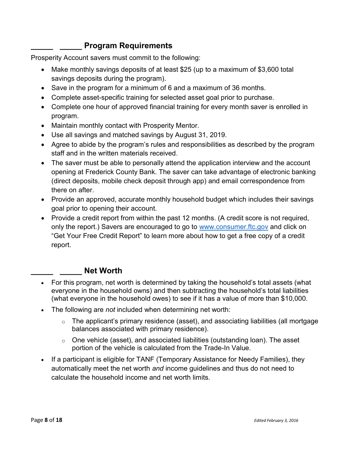# Program Requirements

Prosperity Account savers must commit to the following:

- Make monthly savings deposits of at least \$25 (up to a maximum of \$3,600 total savings deposits during the program).
- Save in the program for a minimum of 6 and a maximum of 36 months.
- Complete asset-specific training for selected asset goal prior to purchase.
- Complete one hour of approved financial training for every month saver is enrolled in program.
- Maintain monthly contact with Prosperity Mentor.
- Use all savings and matched savings by August 31, 2019.
- Agree to abide by the program's rules and responsibilities as described by the program staff and in the written materials received.
- The saver must be able to personally attend the application interview and the account opening at Frederick County Bank. The saver can take advantage of electronic banking (direct deposits, mobile check deposit through app) and email correspondence from there on after.
- Provide an approved, accurate monthly household budget which includes their savings goal prior to opening their account.
- Provide a credit report from within the past 12 months. (A credit score is not required, only the report.) Savers are encouraged to go to www.consumer.ftc.gov and click on "Get Your Free Credit Report" to learn more about how to get a free copy of a credit report.

#### Net Worth

- For this program, net worth is determined by taking the household's total assets (what everyone in the household owns) and then subtracting the household's total liabilities (what everyone in the household owes) to see if it has a value of more than \$10,000.
- The following are *not* included when determining net worth:
	- $\circ$  The applicant's primary residence (asset), and associating liabilities (all mortgage balances associated with primary residence).
	- $\circ$  One vehicle (asset), and associated liabilities (outstanding loan). The asset portion of the vehicle is calculated from the Trade-In Value.
- If a participant is eligible for TANF (Temporary Assistance for Needy Families), they automatically meet the net worth and income guidelines and thus do not need to calculate the household income and net worth limits.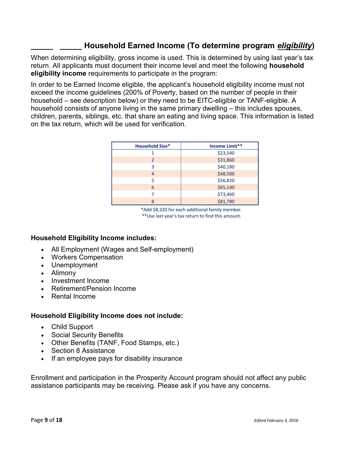# Household Earned Income (To determine program eligibility)

When determining eligibility, gross income is used. This is determined by using last year's tax return. All applicants must document their income level and meet the following household eligibility income requirements to participate in the program:

In order to be Earned Income eligible, the applicant's household eligibility income must not exceed the income guidelines (200% of Poverty, based on the number of people in their household – see description below) or they need to be EITC-eligible or TANF-eligible. A household consists of anyone living in the same primary dwelling – this includes spouses, children, parents, siblings, etc. that share an eating and living space. This information is listed on the tax return, which will be used for verification.

| <b>Household Size*</b> | Income Limit** |
|------------------------|----------------|
|                        | \$23,540       |
| 2                      | \$31,860       |
| з                      | \$40,180       |
| 4                      | \$48,500       |
| 5                      | \$56,820       |
| 6                      | \$65,140       |
|                        | \$73,460       |
| 8                      | \$81,780       |

\*Add \$8,320 for each additional family member. \*\*Use last year's tax return to find this amount.

#### Household Eligibility Income includes:

- All Employment (Wages and Self-employment)
- Workers Compensation
- Unemployment
- Alimony
- Investment Income
- Retirement/Pension Income
- Rental Income

#### Household Eligibility Income does not include:

- Child Support
- Social Security Benefits
- Other Benefits (TANF, Food Stamps, etc.)
- Section 8 Assistance
- If an employee pays for disability insurance

Enrollment and participation in the Prosperity Account program should not affect any public assistance participants may be receiving. Please ask if you have any concerns.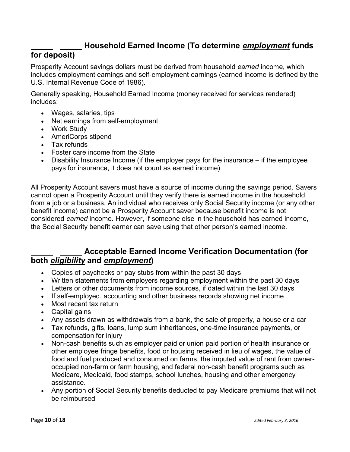# Household Earned Income (To determine employment funds

#### for deposit)

Prosperity Account savings dollars must be derived from household earned income, which includes employment earnings and self-employment earnings (earned income is defined by the U.S. Internal Revenue Code of 1986).

Generally speaking, Household Earned Income (money received for services rendered) includes:

- Wages, salaries, tips
- Net earnings from self-employment
- Work Study
- AmeriCorps stipend
- Tax refunds
- Foster care income from the State
- Disability Insurance Income (if the employer pays for the insurance if the employee pays for insurance, it does not count as earned income)

All Prosperity Account savers must have a source of income during the savings period. Savers cannot open a Prosperity Account until they verify there is earned income in the household from a job or a business. An individual who receives only Social Security income (or any other benefit income) cannot be a Prosperity Account saver because benefit income is not considered earned income. However, if someone else in the household has earned income, the Social Security benefit earner can save using that other person's earned income.

#### Acceptable Earned Income Verification Documentation (for both eligibility and employment)

- Copies of paychecks or pay stubs from within the past 30 days
- Written statements from employers regarding employment within the past 30 days
- Letters or other documents from income sources, if dated within the last 30 days
- If self-employed, accounting and other business records showing net income
- Most recent tax return
- Capital gains
- Any assets drawn as withdrawals from a bank, the sale of property, a house or a car
- Tax refunds, gifts, loans, lump sum inheritances, one-time insurance payments, or compensation for injury
- Non-cash benefits such as employer paid or union paid portion of health insurance or other employee fringe benefits, food or housing received in lieu of wages, the value of food and fuel produced and consumed on farms, the imputed value of rent from owneroccupied non-farm or farm housing, and federal non-cash benefit programs such as Medicare, Medicaid, food stamps, school lunches, housing and other emergency assistance.
- Any portion of Social Security benefits deducted to pay Medicare premiums that will not be reimbursed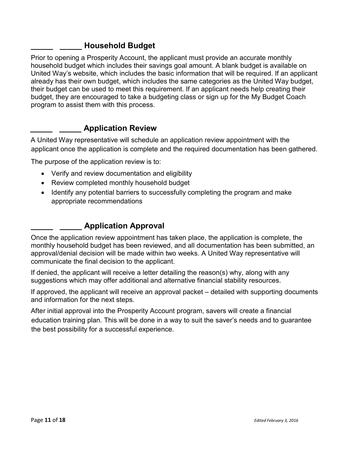# \_\_\_\_\_ \_\_\_\_\_ Household Budget

Prior to opening a Prosperity Account, the applicant must provide an accurate monthly household budget which includes their savings goal amount. A blank budget is available on United Way's website, which includes the basic information that will be required. If an applicant already has their own budget, which includes the same categories as the United Way budget, their budget can be used to meet this requirement. If an applicant needs help creating their budget, they are encouraged to take a budgeting class or sign up for the My Budget Coach program to assist them with this process.

# **Example 20 Application Review**

A United Way representative will schedule an application review appointment with the applicant once the application is complete and the required documentation has been gathered.

The purpose of the application review is to:

- Verify and review documentation and eligibility
- Review completed monthly household budget
- Identify any potential barriers to successfully completing the program and make appropriate recommendations

# \_\_\_\_\_ \_\_\_\_\_ Application Approval

Once the application review appointment has taken place, the application is complete, the monthly household budget has been reviewed, and all documentation has been submitted, an approval/denial decision will be made within two weeks. A United Way representative will communicate the final decision to the applicant.

If denied, the applicant will receive a letter detailing the reason(s) why, along with any suggestions which may offer additional and alternative financial stability resources.

If approved, the applicant will receive an approval packet – detailed with supporting documents and information for the next steps.

After initial approval into the Prosperity Account program, savers will create a financial education training plan. This will be done in a way to suit the saver's needs and to guarantee the best possibility for a successful experience.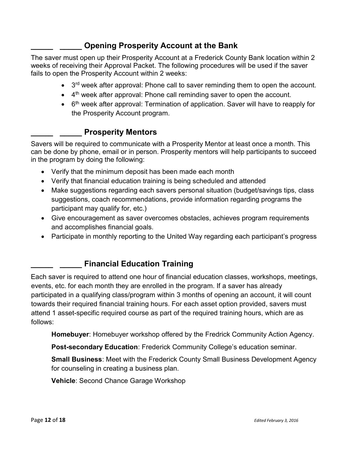# **Opening Prosperity Account at the Bank**

The saver must open up their Prosperity Account at a Frederick County Bank location within 2 weeks of receiving their Approval Packet. The following procedures will be used if the saver fails to open the Prosperity Account within 2 weeks:

- $\bullet$  3<sup>rd</sup> week after approval: Phone call to saver reminding them to open the account.
- $\bullet$  4<sup>th</sup> week after approval: Phone call reminding saver to open the account.
- 6<sup>th</sup> week after approval: Termination of application. Saver will have to reapply for the Prosperity Account program.

# **Prosperity Mentors**

Savers will be required to communicate with a Prosperity Mentor at least once a month. This can be done by phone, email or in person. Prosperity mentors will help participants to succeed in the program by doing the following:

- Verify that the minimum deposit has been made each month
- Verify that financial education training is being scheduled and attended
- Make suggestions regarding each savers personal situation (budget/savings tips, class suggestions, coach recommendations, provide information regarding programs the participant may qualify for, etc.)
- Give encouragement as saver overcomes obstacles, achieves program requirements and accomplishes financial goals.
- Participate in monthly reporting to the United Way regarding each participant's progress

# \_\_\_\_\_ \_\_\_\_\_ Financial Education Training

Each saver is required to attend one hour of financial education classes, workshops, meetings, events, etc. for each month they are enrolled in the program. If a saver has already participated in a qualifying class/program within 3 months of opening an account, it will count towards their required financial training hours. For each asset option provided, savers must attend 1 asset-specific required course as part of the required training hours, which are as follows:

Homebuyer: Homebuyer workshop offered by the Fredrick Community Action Agency.

Post-secondary Education: Frederick Community College's education seminar.

Small Business: Meet with the Frederick County Small Business Development Agency for counseling in creating a business plan.

Vehicle: Second Chance Garage Workshop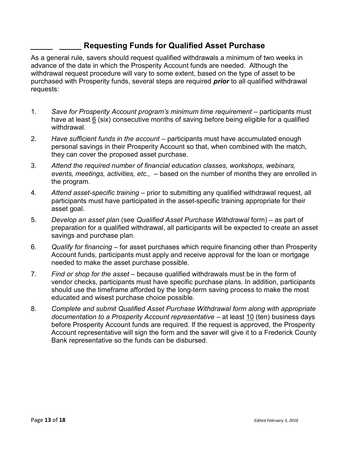#### Requesting Funds for Qualified Asset Purchase

As a general rule, savers should request qualified withdrawals a minimum of two weeks in advance of the date in which the Prosperity Account funds are needed. Although the withdrawal request procedure will vary to some extent, based on the type of asset to be purchased with Prosperity funds, several steps are required **prior** to all qualified withdrawal requests:

- 1. Save for Prosperity Account program's minimum time requirement participants must have at least 6 (six) consecutive months of saving before being eligible for a qualified withdrawal.
- 2. Have sufficient funds in the account participants must have accumulated enough personal savings in their Prosperity Account so that, when combined with the match, they can cover the proposed asset purchase.
- 3. Attend the required number of financial education classes, workshops, webinars, events, meetings, activities, etc., - based on the number of months they are enrolled in the program.
- 4. Attend asset-specific training prior to submitting any qualified withdrawal request, all participants must have participated in the asset-specific training appropriate for their asset goal.
- 5. Develop an asset plan (see Qualified Asset Purchase Withdrawal form) as part of preparation for a qualified withdrawal, all participants will be expected to create an asset savings and purchase plan.
- 6. Qualify for financing for asset purchases which require financing other than Prosperity Account funds, participants must apply and receive approval for the loan or mortgage needed to make the asset purchase possible.
- 7. Find or shop for the asset because qualified withdrawals must be in the form of vendor checks, participants must have specific purchase plans. In addition, participants should use the timeframe afforded by the long-term saving process to make the most educated and wisest purchase choice possible.
- 8. Complete and submit Qualified Asset Purchase Withdrawal form along with appropriate documentation to a Prosperity Account representative  $-$  at least  $10$  (ten) business days before Prosperity Account funds are required. If the request is approved, the Prosperity Account representative will sign the form and the saver will give it to a Frederick County Bank representative so the funds can be disbursed.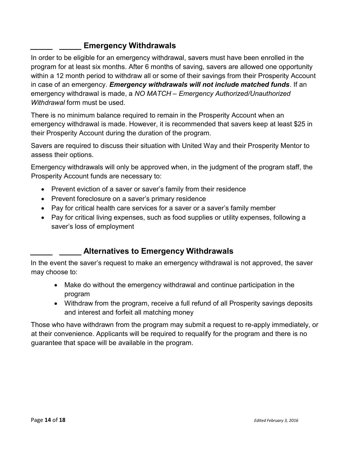# Emergency Withdrawals

In order to be eligible for an emergency withdrawal, savers must have been enrolled in the program for at least six months. After 6 months of saving, savers are allowed one opportunity within a 12 month period to withdraw all or some of their savings from their Prosperity Account in case of an emergency. Emergency withdrawals will not include matched funds. If an emergency withdrawal is made, a NO MATCH – Emergency Authorized/Unauthorized Withdrawal form must be used.

There is no minimum balance required to remain in the Prosperity Account when an emergency withdrawal is made. However, it is recommended that savers keep at least \$25 in their Prosperity Account during the duration of the program.

Savers are required to discuss their situation with United Way and their Prosperity Mentor to assess their options.

Emergency withdrawals will only be approved when, in the judgment of the program staff, the Prosperity Account funds are necessary to:

- Prevent eviction of a saver or saver's family from their residence
- Prevent foreclosure on a saver's primary residence
- Pay for critical health care services for a saver or a saver's family member
- Pay for critical living expenses, such as food supplies or utility expenses, following a saver's loss of employment

# Alternatives to Emergency Withdrawals

In the event the saver's request to make an emergency withdrawal is not approved, the saver may choose to:

- Make do without the emergency withdrawal and continue participation in the program
- Withdraw from the program, receive a full refund of all Prosperity savings deposits and interest and forfeit all matching money

Those who have withdrawn from the program may submit a request to re-apply immediately, or at their convenience. Applicants will be required to requalify for the program and there is no guarantee that space will be available in the program.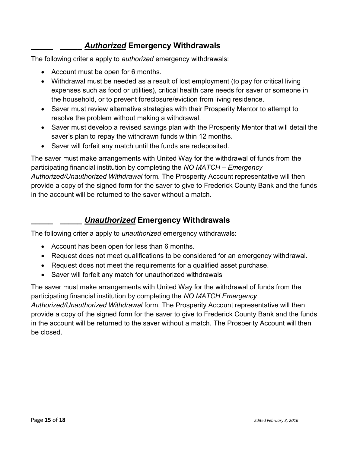# Authorized Emergency Withdrawals

The following criteria apply to authorized emergency withdrawals:

- Account must be open for 6 months.
- Withdrawal must be needed as a result of lost employment (to pay for critical living expenses such as food or utilities), critical health care needs for saver or someone in the household, or to prevent foreclosure/eviction from living residence.
- Saver must review alternative strategies with their Prosperity Mentor to attempt to resolve the problem without making a withdrawal.
- Saver must develop a revised savings plan with the Prosperity Mentor that will detail the saver's plan to repay the withdrawn funds within 12 months.
- Saver will forfeit any match until the funds are redeposited.

The saver must make arrangements with United Way for the withdrawal of funds from the participating financial institution by completing the NO MATCH – Emergency Authorized/Unauthorized Withdrawal form. The Prosperity Account representative will then provide a copy of the signed form for the saver to give to Frederick County Bank and the funds in the account will be returned to the saver without a match.

# **Unauthorized Emergency Withdrawals**

The following criteria apply to *unauthorized* emergency withdrawals:

- Account has been open for less than 6 months.
- Request does not meet qualifications to be considered for an emergency withdrawal.
- Request does not meet the requirements for a qualified asset purchase.
- Saver will forfeit any match for unauthorized withdrawals

The saver must make arrangements with United Way for the withdrawal of funds from the participating financial institution by completing the NO MATCH Emergency Authorized/Unauthorized Withdrawal form. The Prosperity Account representative will then provide a copy of the signed form for the saver to give to Frederick County Bank and the funds in the account will be returned to the saver without a match. The Prosperity Account will then be closed.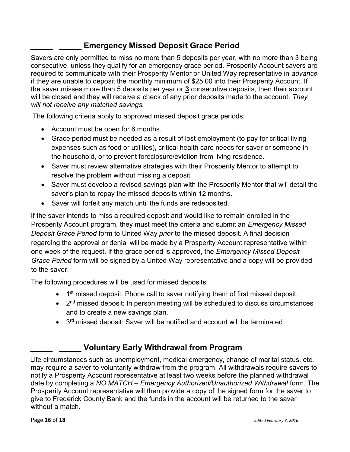# **Emergency Missed Deposit Grace Period**

Savers are only permitted to miss no more than 5 deposits per year, with no more than 3 being consecutive, unless they qualify for an emergency grace period. Prosperity Account savers are required to communicate with their Prosperity Mentor or United Way representative in advance if they are unable to deposit the monthly minimum of \$25.00 into their Prosperity Account. If the saver misses more than 5 deposits per year or 3 consecutive deposits, then their account will be closed and they will receive a check of any prior deposits made to the account. They will not receive any matched savings.

The following criteria apply to approved missed deposit grace periods:

- Account must be open for 6 months.
- Grace period must be needed as a result of lost employment (to pay for critical living expenses such as food or utilities), critical health care needs for saver or someone in the household, or to prevent foreclosure/eviction from living residence.
- Saver must review alternative strategies with their Prosperity Mentor to attempt to resolve the problem without missing a deposit.
- Saver must develop a revised savings plan with the Prosperity Mentor that will detail the saver's plan to repay the missed deposits within 12 months.
- Saver will forfeit any match until the funds are redeposited.

If the saver intends to miss a required deposit and would like to remain enrolled in the Prosperity Account program, they must meet the criteria and submit an Emergency Missed Deposit Grace Period form to United Way prior to the missed deposit. A final decision regarding the approval or denial will be made by a Prosperity Account representative within one week of the request. If the grace period is approved, the Emergency Missed Deposit Grace Period form will be signed by a United Way representative and a copy will be provided to the saver.

The following procedures will be used for missed deposits:

- $\bullet$  1<sup>st</sup> missed deposit: Phone call to saver notifying them of first missed deposit.
- 2<sup>nd</sup> missed deposit: In person meeting will be scheduled to discuss circumstances and to create a new savings plan.
- 3<sup>rd</sup> missed deposit: Saver will be notified and account will be terminated

# Voluntary Early Withdrawal from Program

Life circumstances such as unemployment, medical emergency, change of marital status, etc. may require a saver to voluntarily withdraw from the program. All withdrawals require savers to notify a Prosperity Account representative at least two weeks before the planned withdrawal date by completing a NO MATCH – Emergency Authorized/Unauthorized Withdrawal form. The Prosperity Account representative will then provide a copy of the signed form for the saver to give to Frederick County Bank and the funds in the account will be returned to the saver without a match.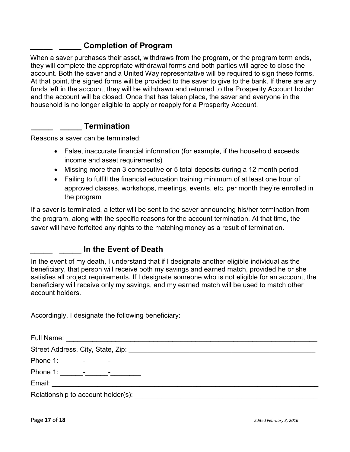#### Completion of Program

When a saver purchases their asset, withdraws from the program, or the program term ends, they will complete the appropriate withdrawal forms and both parties will agree to close the account. Both the saver and a United Way representative will be required to sign these forms. At that point, the signed forms will be provided to the saver to give to the bank. If there are any funds left in the account, they will be withdrawn and returned to the Prosperity Account holder and the account will be closed. Once that has taken place, the saver and everyone in the household is no longer eligible to apply or reapply for a Prosperity Account.

#### **Termination**

Reasons a saver can be terminated:

- False, inaccurate financial information (for example, if the household exceeds income and asset requirements)
- Missing more than 3 consecutive or 5 total deposits during a 12 month period
- Failing to fulfill the financial education training minimum of at least one hour of approved classes, workshops, meetings, events, etc. per month they're enrolled in the program

If a saver is terminated, a letter will be sent to the saver announcing his/her termination from the program, along with the specific reasons for the account termination. At that time, the saver will have forfeited any rights to the matching money as a result of termination.

#### In the Event of Death

In the event of my death, I understand that if I designate another eligible individual as the beneficiary, that person will receive both my savings and earned match, provided he or she satisfies all project requirements. If I designate someone who is not eligible for an account, the beneficiary will receive only my savings, and my earned match will be used to match other account holders.

Accordingly, I designate the following beneficiary:

| Relationship to account holder(s): Notified that the set of the set of the set of the set of the set of the set of the set of the set of the set of the set of the set of the set of the set of the set of the set of the set |
|-------------------------------------------------------------------------------------------------------------------------------------------------------------------------------------------------------------------------------|